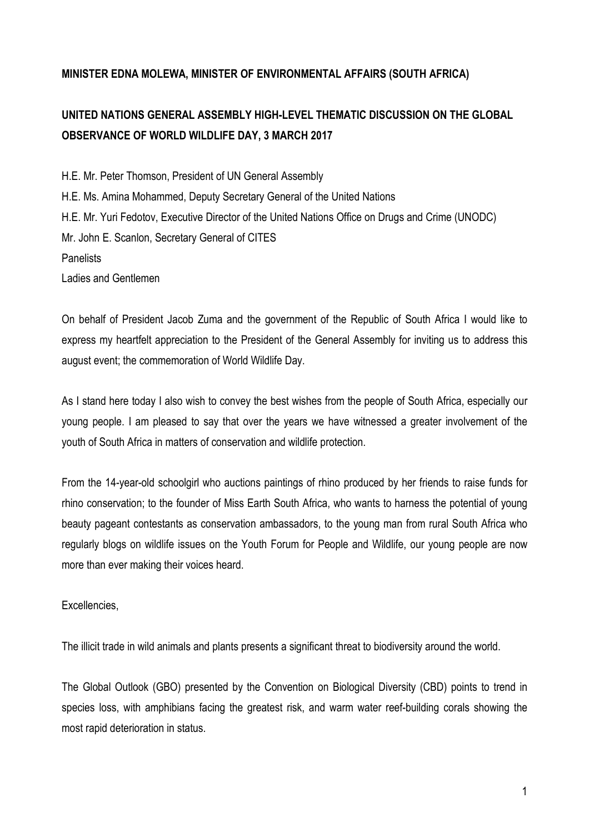## **MINISTER EDNA MOLEWA, MINISTER OF ENVIRONMENTAL AFFAIRS (SOUTH AFRICA)**

## **UNITED NATIONS GENERAL ASSEMBLY HIGH-LEVEL THEMATIC DISCUSSION ON THE GLOBAL OBSERVANCE OF WORLD WILDLIFE DAY, 3 MARCH 2017**

H.E. Mr. Peter Thomson, President of UN General Assembly H.E. Ms. Amina Mohammed, Deputy Secretary General of the United Nations H.E. Mr. Yuri Fedotov, Executive Director of the United Nations Office on Drugs and Crime (UNODC) Mr. John E. Scanlon, Secretary General of CITES **Panelists** Ladies and Gentlemen

On behalf of President Jacob Zuma and the government of the Republic of South Africa I would like to express my heartfelt appreciation to the President of the General Assembly for inviting us to address this august event; the commemoration of World Wildlife Day.

As I stand here today I also wish to convey the best wishes from the people of South Africa, especially our young people. I am pleased to say that over the years we have witnessed a greater involvement of the youth of South Africa in matters of conservation and wildlife protection.

From the 14-year-old schoolgirl who auctions paintings of rhino produced by her friends to raise funds for rhino conservation; to the founder of Miss Earth South Africa, who wants to harness the potential of young beauty pageant contestants as conservation ambassadors, to the young man from rural South Africa who regularly blogs on wildlife issues on the Youth Forum for People and Wildlife, our young people are now more than ever making their voices heard.

## Excellencies,

The illicit trade in wild animals and plants presents a significant threat to biodiversity around the world.

The Global Outlook (GBO) presented by the Convention on Biological Diversity (CBD) points to trend in species loss, with amphibians facing the greatest risk, and warm water reef-building corals showing the most rapid deterioration in status.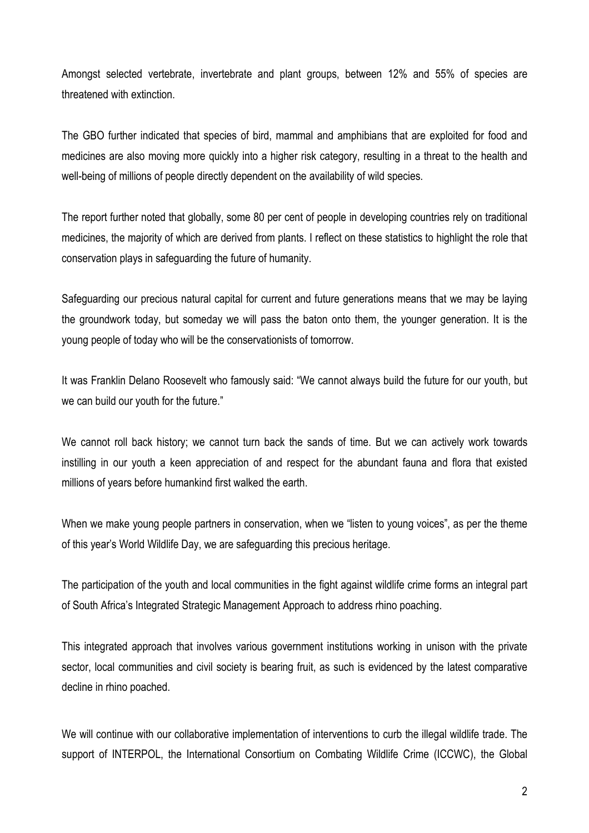Amongst selected vertebrate, invertebrate and plant groups, between 12% and 55% of species are threatened with extinction.

The GBO further indicated that species of bird, mammal and amphibians that are exploited for food and medicines are also moving more quickly into a higher risk category, resulting in a threat to the health and well-being of millions of people directly dependent on the availability of wild species.

The report further noted that globally, some 80 per cent of people in developing countries rely on traditional medicines, the majority of which are derived from plants. I reflect on these statistics to highlight the role that conservation plays in safeguarding the future of humanity.

Safeguarding our precious natural capital for current and future generations means that we may be laying the groundwork today, but someday we will pass the baton onto them, the younger generation. It is the young people of today who will be the conservationists of tomorrow.

It was Franklin Delano Roosevelt who famously said: "We cannot always build the future for our youth, but we can build our youth for the future."

We cannot roll back history; we cannot turn back the sands of time. But we can actively work towards instilling in our youth a keen appreciation of and respect for the abundant fauna and flora that existed millions of years before humankind first walked the earth.

When we make young people partners in conservation, when we "listen to young voices", as per the theme of this year's World Wildlife Day, we are safeguarding this precious heritage.

The participation of the youth and local communities in the fight against wildlife crime forms an integral part of South Africa's Integrated Strategic Management Approach to address rhino poaching.

This integrated approach that involves various government institutions working in unison with the private sector, local communities and civil society is bearing fruit, as such is evidenced by the latest comparative decline in rhino poached.

We will continue with our collaborative implementation of interventions to curb the illegal wildlife trade. The support of INTERPOL, the International Consortium on Combating Wildlife Crime (ICCWC), the Global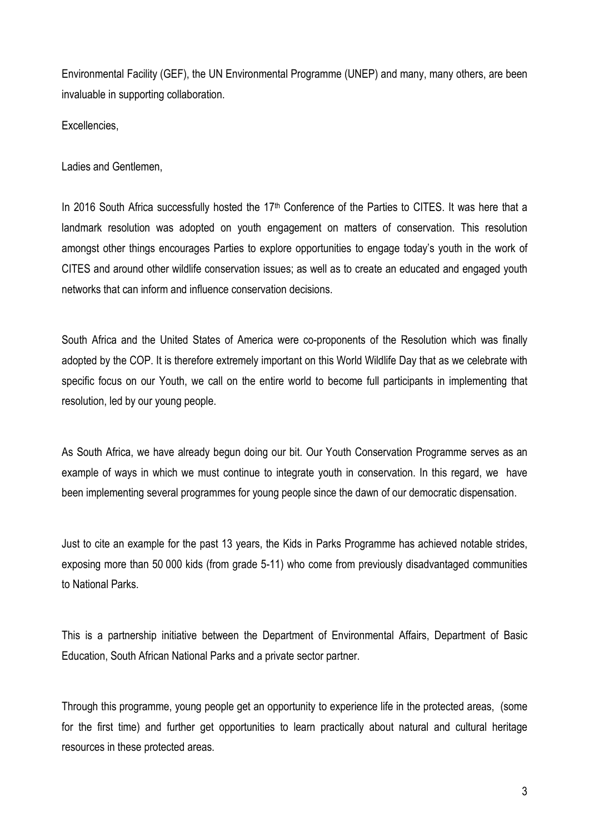Environmental Facility (GEF), the UN Environmental Programme (UNEP) and many, many others, are been invaluable in supporting collaboration.

Excellencies,

Ladies and Gentlemen,

In 2016 South Africa successfully hosted the 17<sup>th</sup> Conference of the Parties to CITES. It was here that a landmark resolution was adopted on youth engagement on matters of conservation. This resolution amongst other things encourages Parties to explore opportunities to engage today's youth in the work of CITES and around other wildlife conservation issues; as well as to create an educated and engaged youth networks that can inform and influence conservation decisions.

South Africa and the United States of America were co-proponents of the Resolution which was finally adopted by the COP. It is therefore extremely important on this World Wildlife Day that as we celebrate with specific focus on our Youth, we call on the entire world to become full participants in implementing that resolution, led by our young people.

As South Africa, we have already begun doing our bit. Our Youth Conservation Programme serves as an example of ways in which we must continue to integrate youth in conservation. In this regard, we have been implementing several programmes for young people since the dawn of our democratic dispensation.

Just to cite an example for the past 13 years, the Kids in Parks Programme has achieved notable strides, exposing more than 50 000 kids (from grade 5-11) who come from previously disadvantaged communities to National Parks.

This is a partnership initiative between the Department of Environmental Affairs, Department of Basic Education, South African National Parks and a private sector partner.

Through this programme, young people get an opportunity to experience life in the protected areas, (some for the first time) and further get opportunities to learn practically about natural and cultural heritage resources in these protected areas.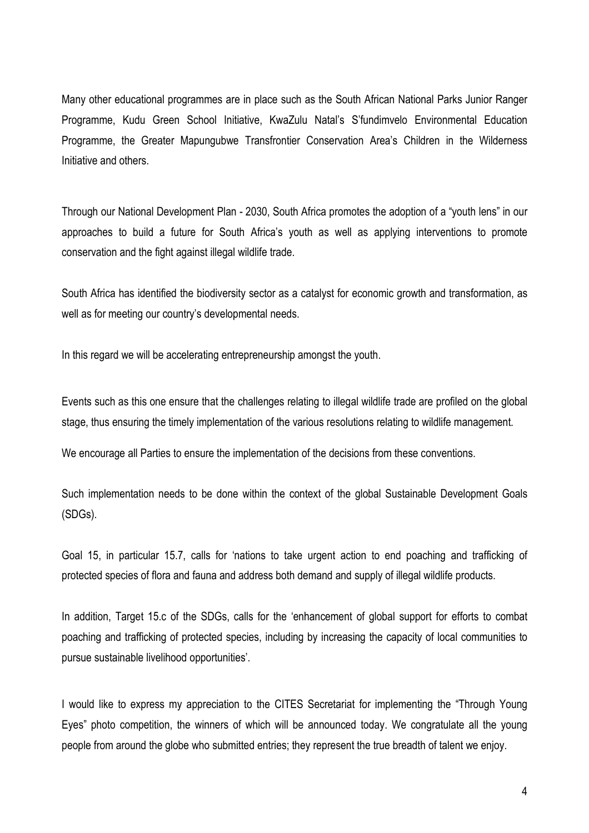Many other educational programmes are in place such as the South African National Parks Junior Ranger Programme, Kudu Green School Initiative, KwaZulu Natal's S'fundimvelo Environmental Education Programme, the Greater Mapungubwe Transfrontier Conservation Area's Children in the Wilderness Initiative and others.

Through our National Development Plan - 2030, South Africa promotes the adoption of a "youth lens" in our approaches to build a future for South Africa's youth as well as applying interventions to promote conservation and the fight against illegal wildlife trade.

South Africa has identified the biodiversity sector as a catalyst for economic growth and transformation, as well as for meeting our country's developmental needs.

In this regard we will be accelerating entrepreneurship amongst the youth.

Events such as this one ensure that the challenges relating to illegal wildlife trade are profiled on the global stage, thus ensuring the timely implementation of the various resolutions relating to wildlife management.

We encourage all Parties to ensure the implementation of the decisions from these conventions.

Such implementation needs to be done within the context of the global Sustainable Development Goals (SDGs).

Goal 15, in particular 15.7, calls for 'nations to take urgent action to end poaching and trafficking of protected species of flora and fauna and address both demand and supply of illegal wildlife products.

In addition, Target 15.c of the SDGs, calls for the 'enhancement of global support for efforts to combat poaching and trafficking of protected species, including by increasing the capacity of local communities to pursue sustainable livelihood opportunities'.

I would like to express my appreciation to the CITES Secretariat for implementing the "Through Young Eyes" photo competition, the winners of which will be announced today. We congratulate all the young people from around the globe who submitted entries; they represent the true breadth of talent we enjoy.